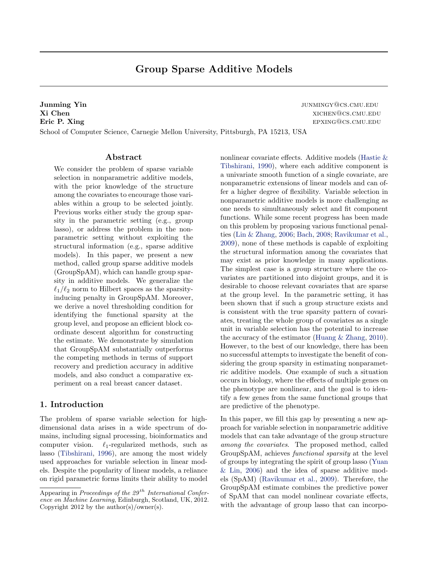# Group Sparse Additive Models

**Junming Yin** junming  $\mathbf{Y}$  in the set of the set of the set of the set of the set of the set of the set of the set of the set of the set of the set of the set of the set of the set of the set of the set of the set of t Xi Chen xichen@cs.cmu.edu Eric P. Xing episode example and the existence of the existence of the existence of the existence of the existence of the existence of the existence of the existence of the existence of the existence of the existence of th School of Computer Science, Carnegie Mellon University, Pittsburgh, PA 15213, USA

# Abstract

We consider the problem of sparse variable selection in nonparametric additive models, with the prior knowledge of the structure among the covariates to encourage those variables within a group to be selected jointly. Previous works either study the group sparsity in the parametric setting (e.g., group lasso), or address the problem in the nonparametric setting without exploiting the structural information (e.g., sparse additive models). In this paper, we present a new method, called group sparse additive models (GroupSpAM), which can handle group sparsity in additive models. We generalize the  $\ell_1/\ell_2$  norm to Hilbert spaces as the sparsityinducing penalty in GroupSpAM. Moreover, we derive a novel thresholding condition for identifying the functional sparsity at the group level, and propose an efficient block coordinate descent algorithm for constructing the estimate. We demonstrate by simulation that GroupSpAM substantially outperforms the competing methods in terms of support recovery and prediction accuracy in additive models, and also conduct a comparative experiment on a real breast cancer dataset.

# 1. Introduction

The problem of sparse variable selection for highdimensional data arises in a wide spectrum of domains, including signal processing, bioinformatics and computer vision.  $\ell_1$ -regularized methods, such as lasso [\(Tibshirani,](#page-7-0) [1996\)](#page-7-0), are among the most widely used approaches for variable selection in linear models. Despite the popularity of linear models, a reliance on rigid parametric forms limits their ability to model nonlinear covariate effects. Additive models [\(Hastie &](#page-7-0) [Tibshirani,](#page-7-0) [1990\)](#page-7-0), where each additive component is a univariate smooth function of a single covariate, are nonparametric extensions of linear models and can offer a higher degree of flexibility. Variable selection in nonparametric additive models is more challenging as one needs to simultaneously select and fit component functions. While some recent progress has been made on this problem by proposing various functional penalties [\(Lin & Zhang,](#page-7-0) [2006;](#page-7-0) [Bach,](#page-7-0) [2008;](#page-7-0) [Ravikumar et al.,](#page-7-0) [2009\)](#page-7-0), none of these methods is capable of exploiting the structural information among the covariates that may exist as prior knowledge in many applications. The simplest case is a group structure where the covariates are partitioned into disjoint groups, and it is desirable to choose relevant covariates that are sparse at the group level. In the parametric setting, it has been shown that if such a group structure exists and is consistent with the true sparsity pattern of covariates, treating the whole group of covariates as a single unit in variable selection has the potential to increase the accuracy of the estimator [\(Huang & Zhang,](#page-7-0) [2010\)](#page-7-0). However, to the best of our knowledge, there has been no successful attempts to investigate the benefit of considering the group sparsity in estimating nonparametric additive models. One example of such a situation occurs in biology, where the effects of multiple genes on the phenotype are nonlinear, and the goal is to identify a few genes from the same functional groups that are predictive of the phenotype.

In this paper, we fill this gap by presenting a new approach for variable selection in nonparametric additive models that can take advantage of the group structure among the covariates. The proposed method, called GroupSpAM, achieves functional sparsity at the level of groups by integrating the spirit of group lasso [\(Yuan](#page-7-0) [& Lin,](#page-7-0) [2006\)](#page-7-0) and the idea of sparse additive models (SpAM) [\(Ravikumar et al.,](#page-7-0) [2009\)](#page-7-0). Therefore, the GroupSpAM estimate combines the predictive power of SpAM that can model nonlinear covariate effects, with the advantage of group lasso that can incorpo-

Appearing in Proceedings of the  $29^{th}$  International Conference on Machine Learning, Edinburgh, Scotland, UK, 2012. Copyright 2012 by the author(s)/owner(s).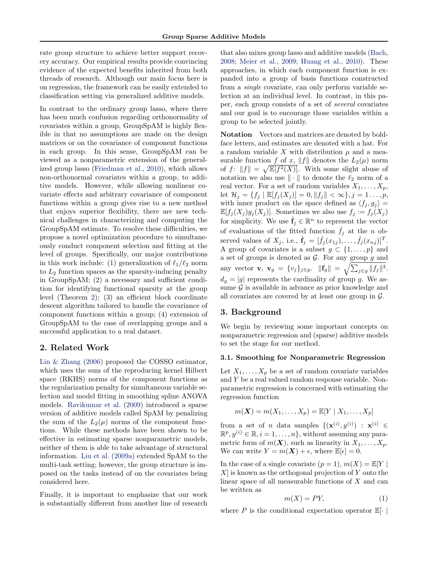<span id="page-1-0"></span>rate group structure to achieve better support recovery accuracy. Our empirical results provide convincing evidence of the expected benefits inherited from both threads of research. Although our main focus here is on regression, the framework can be easily extended to classification setting via generalized additive models.

In contrast to the ordinary group lasso, where there has been much confusion regarding orthonormality of covariates within a group, GroupSpAM is highly flexible in that no assumptions are made on the design matrices or on the covariance of component functions in each group. In this sense, GroupSpAM can be viewed as a nonparametric extension of the generalized group lasso [\(Friedman et al.,](#page-7-0) [2010\)](#page-7-0), which allows non-orthonormal covariates within a group, to additive models. However, while allowing nonlinear covariate effects and arbitrary covariance of component functions within a group gives rise to a new method that enjoys superior flexibility, there are new technical challenges in characterizing and computing the GroupSpAM estimate. To resolve these difficulties, we propose a novel optimization procedure to simultaneously conduct component selection and fitting at the level of groups. Specifically, our major contributions in this work include: (1) generalization of  $\ell_1/\ell_2$  norm to  $L_2$  function spaces as the sparsity-inducing penalty in GroupSpAM; (2) a necessary and sufficient condition for identifying functional sparsity at the group level (Theorem [2\)](#page-3-0); (3) an efficient block coordinate descent algorithm tailored to handle the covariance of component functions within a group; (4) extension of GroupSpAM to the case of overlapping groups and a successful application to a real dataset.

# 2. Related Work

[Lin & Zhang](#page-7-0) [\(2006\)](#page-7-0) proposed the COSSO estimator, which uses the sum of the reproducing kernel Hilbert space (RKHS) norms of the component functions as the regularization penalty for simultaneous variable selection and model fitting in smoothing spline ANOVA models. [Ravikumar et al.](#page-7-0) [\(2009\)](#page-7-0) introduced a sparse version of additive models called SpAM by penalizing the sum of the  $L_2(\mu)$  norms of the component functions. While these methods have been shown to be effective in estimating sparse nonparametric models, neither of them is able to take advantage of structural information. [Liu et al.](#page-7-0) [\(2009a\)](#page-7-0) extended SpAM to the multi-task setting; however, the group structure is imposed on the tasks instead of on the covariates being considered here.

Finally, it is important to emphasize that our work is substantially different from another line of research

that also mixes group lasso and additive models [\(Bach,](#page-7-0) [2008;](#page-7-0) [Meier et al.,](#page-7-0) [2009;](#page-7-0) [Huang et al.,](#page-7-0) [2010\)](#page-7-0). These approaches, in which each component function is expanded into a group of basis functions constructed from a single covariate, can only perform variable selection at an individual level. In contrast, in this paper, each group consists of a set of several covariates and our goal is to encourage those variables within a group to be selected jointly.

Notation Vectors and matrices are denoted by boldface letters, and estimates are denoted with a hat. For a random variable X with distribution  $\mu$  and a measurable function  $f$  of  $x$ ,  $||f||$  denotes the  $L_2(\mu)$  norm of  $f: ||f|| = \sqrt{\mathbb{E}[f^2(X)]}$ . With some slight abuse of notation we also use  $\|\cdot\|$  to denote the  $\ell_2$  norm of a real vector. For a set of random variables  $X_1, \ldots, X_n$ , let  $\mathcal{H}_j = \{f_j \mid \mathbb{E}[f_j(X_j)] = 0, ||f_j|| < \infty\}, j = 1 \dots, p,$ with inner product on the space defined as  $\langle f_i, g_j \rangle =$  $\mathbb{E}[f_j(X_j)g_j(X_j)]$ . Sometimes we also use  $f_j := f_j(X_j)$ for simplicity. We use  $\hat{\mathbf{f}}_j \in \mathbb{R}^n$  to represent the vector of evaluations of the fitted function  $\hat{f}_j$  at the *n* observed values of  $X_j$ , i.e.,  $\hat{\mathbf{f}}_j = [\hat{f}_j(x_{1j}), \dots, \hat{f}_j(x_{nj})]^T$ . A group of covariates is a subset  $g \subset \{1, \ldots, p\}$  and a set of groups is denoted as  $G$ . For any group  $g$  and any vector **v**,  $\mathbf{v}_g = \{v_j\}_{j \in g}$ .  $\|\mathbf{f}_g\| = \sqrt{\sum_{j \in g} ||f_j||^2}$ .  $d_q = |q|$  represents the cardinality of group g. We assume  $\mathcal G$  is available in advance as prior knowledge and all covariates are covered by at least one group in  $\mathcal{G}$ .

# 3. Background

We begin by reviewing some important concepts on nonparametric regression and (sparse) additive models to set the stage for our method.

#### 3.1. Smoothing for Nonparametric Regression

Let  $X_1, \ldots, X_p$  be a set of random covariate variables and Y be a real valued random response variable. Nonparametric regression is concerned with estimating the regression function

$$
m(\boldsymbol{X}) = m(X_1, \ldots, X_p) = \mathbb{E}[Y \mid X_1, \ldots, X_p]
$$

from a set of *n* data samples  $\{(\mathbf{x}^{(i)}, y^{(i)}) : \mathbf{x}^{(i)} \in$  $\mathbb{R}^p, y^{(i)} \in \mathbb{R}, i = 1, \ldots, n\},$  without assuming any parametric form of  $m(\mathbf{X})$ , such as linearity in  $X_1, \ldots, X_p$ . We can write  $Y = m(\mathbf{X}) + \epsilon$ , where  $\mathbb{E}[\epsilon] = 0$ .

In the case of a single covariate  $(p = 1)$ ,  $m(X) = \mathbb{E}[Y]$  $X$  is known as the orthogonal projection of Y onto the linear space of all measurable functions of  $X$  and can be written as

$$
m(X) = PY,\t\t(1)
$$

where  $P$  is the conditional expectation operator  $\mathbb{E}[\cdot]$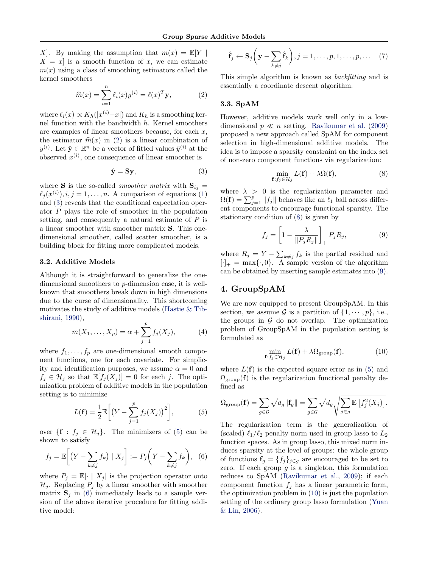<span id="page-2-0"></span>X. By making the assumption that  $m(x) = \mathbb{E}[Y]$  $X = x$  is a smooth function of x, we can estimate  $m(x)$  using a class of smoothing estimators called the kernel smoothers

$$
\widehat{m}(x) = \sum_{i=1}^{n} \ell_i(x) y^{(i)} = \ell(x)^T \mathbf{y},\tag{2}
$$

where  $\ell_i(x) \propto K_h(|x^{(i)}-x|)$  and  $K_h$  is a smoothing kernel function with the bandwidth h. Kernel smoothers are examples of linear smoothers because, for each  $x$ , the estimator  $\hat{m}(x)$  in (2) is a linear combination of  $y^{(i)}$ . Let  $\hat{\mathbf{y}} \in \mathbb{R}^n$  be a vector of fitted values  $\hat{y}^{(i)}$  at the observed  $x^{(i)}$ , one consequence of linear smoother is

$$
\hat{\mathbf{y}} = \mathbf{S}\mathbf{y},\tag{3}
$$

where **S** is the so-called *smoother matrix* with  $S_{ij}$  =  $\ell_j (x^{(i)}), i, j = 1, \ldots, n$ . A comparison of equations [\(1\)](#page-1-0) and (3) reveals that the conditional expectation operator P plays the role of smoother in the population setting, and consequently a natural estimate of P is a linear smoother with smoother matrix S. This onedimensional smoother, called scatter smoother, is a building block for fitting more complicated models.

### 3.2. Additive Models

Although it is straightforward to generalize the onedimensional smoothers to p-dimension case, it is wellknown that smoothers break down in high dimensions due to the curse of dimensionality. This shortcoming motivates the study of additive models [\(Hastie & Tib](#page-7-0)[shirani,](#page-7-0) [1990\)](#page-7-0),

$$
m(X_1, ..., X_p) = \alpha + \sum_{j=1}^p f_j(X_j),
$$
 (4)

where  $f_1, \ldots, f_p$  are one-dimensional smooth component functions, one for each covariate. For simplicity and identification purposes, we assume  $\alpha = 0$  and  $f_j \in \mathcal{H}_j$  so that  $\mathbb{E}[f_j(X_j)] = 0$  for each j. The optimization problem of additive models in the population setting is to minimize

$$
L(\mathbf{f}) = \frac{1}{2} \mathbb{E}\bigg[ \big(Y - \sum_{j=1}^{p} f_j(X_j)\big)^2 \bigg],\tag{5}
$$

over  $\{ \mathbf{f} : f_j \in \mathcal{H}_j \}.$  The minimizers of (5) can be shown to satisfy

$$
f_j = \mathbb{E}\bigg[\big(Y - \sum_{k \neq j} f_k\big) \mid X_j\bigg] := P_j\bigg(Y - \sum_{k \neq j} f_k\bigg), \tag{6}
$$

where  $P_j = \mathbb{E}[\cdot \mid X_j]$  is the projection operator onto  $\mathcal{H}_j$ . Replacing  $P_j$  by a linear smoother with smoother matrix  $S_i$  in (6) immediately leads to a sample version of the above iterative procedure for fitting additive model:

$$
\hat{\mathbf{f}}_j \leftarrow \mathbf{S}_j \left( \mathbf{y} - \sum_{k \neq j} \hat{\mathbf{f}}_k \right), j = 1, \dots, p, 1, \dots, p, \dots \quad (7)
$$

This simple algorithm is known as backfitting and is essentially a coordinate descent algorithm.

### 3.3. SpAM

However, additive models work well only in a lowdimensional  $p \ll n$  setting. [Ravikumar et al.](#page-7-0) [\(2009\)](#page-7-0) proposed a new approach called SpAM for component selection in high-dimensional additive models. The idea is to impose a sparsity constraint on the index set of non-zero component functions via regularization:

$$
\min_{\mathbf{f}:f_j\in\mathcal{H}_j} L(\mathbf{f}) + \lambda \Omega(\mathbf{f}),\tag{8}
$$

where  $\lambda > 0$  is the regularization parameter and  $\Omega(\mathbf{f}) = \sum_{j=1}^{p} ||f_j||$  behaves like an  $\ell_1$  ball across different components to encourage functional sparsity. The stationary condition of (8) is given by

$$
f_j = \left[1 - \frac{\lambda}{\|P_j R_j\|}\right]_+ P_j R_j,\tag{9}
$$

where  $R_j = Y - \sum_{k \neq j} f_k$  is the partial residual and  $[\cdot]_+ = \max{\{\cdot, 0\}}$ . A sample version of the algorithm can be obtained by inserting sample estimates into (9).

# 4. GroupSpAM

We are now equipped to present GroupSpAM. In this section, we assume  $\mathcal G$  is a partition of  $\{1, \dots, p\}$ , i.e., the groups in  $G$  do not overlap. The optimization problem of GroupSpAM in the population setting is formulated as

$$
\min_{\mathbf{f}:f_j \in \mathcal{H}_j} L(\mathbf{f}) + \lambda \Omega_{\text{group}}(\mathbf{f}),\tag{10}
$$

where  $L(f)$  is the expected square error as in (5) and  $\Omega_{\text{group}}(\mathbf{f})$  is the regularization functional penalty defined as

$$
\Omega_{\text{group}}(\mathbf{f}) = \sum_{g \in \mathcal{G}} \sqrt{d_g} \|\mathbf{f}_g\| = \sum_{g \in \mathcal{G}} \sqrt{d_g} \sqrt{\sum_{j \in g} \mathbb{E}\left[f_j^2(X_j)\right]}.
$$

The regularization term is the generalization of (scaled)  $\ell_1/\ell_2$  penalty norm used in group lasso to  $L_2$ function spaces. As in group lasso, this mixed norm induces sparsity at the level of groups: the whole group of functions  $\mathbf{f}_g = \{f_j\}_{j\in g}$  are encouraged to be set to zero. If each group  $g$  is a singleton, this formulation reduces to SpAM [\(Ravikumar et al.,](#page-7-0) [2009\)](#page-7-0); if each component function  $f_j$  has a linear parametric form, the optimization problem in (10) is just the population setting of the ordinary group lasso formulation [\(Yuan](#page-7-0) [& Lin,](#page-7-0) [2006\)](#page-7-0).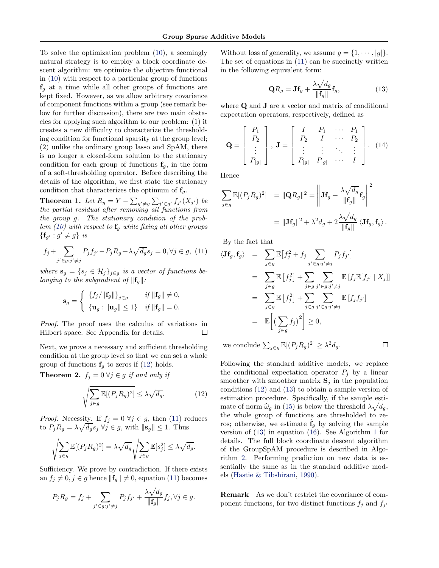<span id="page-3-0"></span>To solve the optimization problem [\(10\)](#page-2-0), a seemingly natural strategy is to employ a block coordinate descent algorithm: we optimize the objective functional in [\(10\)](#page-2-0) with respect to a particular group of functions  $f<sub>q</sub>$  at a time while all other groups of functions are kept fixed. However, as we allow arbitrary covariance of component functions within a group (see remark below for further discussion), there are two main obstacles for applying such algorithm to our problem: (1) it creates a new difficulty to characterize the thresholding condition for functional sparsity at the group level; (2) unlike the ordinary group lasso and SpAM, there is no longer a closed-form solution to the stationary condition for each group of functions  $f<sub>g</sub>$ , in the form of a soft-thresholding operator. Before describing the details of the algorithm, we first state the stationary condition that characterizes the optimum of  $f<sub>g</sub>$ .

**Theorem 1.** Let  $R_g = Y - \sum_{g' \neq g} \sum_{j' \in g'} f_{j'}(X_{j'})$  be the partial residual after removing all functions from the group g. The stationary condition of the prob-lem [\(10\)](#page-2-0) with respect to  $\mathbf{f}_g$  while fixing all other groups  $\{ {\bf f}_{g'} : g' \neq g \}$  is

$$
f_j + \sum_{j' \in g: j' \neq j} P_j f_{j'} - P_j R_g + \lambda \sqrt{d_g} s_j = 0, \forall j \in g, (11)
$$

where  $\mathbf{s}_g = \{s_j \in \mathcal{H}_j\}_{j \in g}$  is a vector of functions belonging to the subgradient of  $\|\mathbf{f}_g\|$ :

$$
\mathbf{s}_{g} = \begin{cases} \left\{ f_{j} / ||\mathbf{f}_{g}|| \right\}_{j \in g} & \text{if } ||\mathbf{f}_{g}|| \neq 0, \\ \left\{ \mathbf{u}_{g} : ||\mathbf{u}_{g}|| \leq 1 \right\} & \text{if } ||\mathbf{f}_{g}|| = 0. \end{cases}
$$

Proof. The proof uses the calculus of variations in Hilbert space. See Appendix for details.  $\Box$ 

Next, we prove a necessary and sufficient thresholding condition at the group level so that we can set a whole group of functions  $f<sub>g</sub>$  to zeros if (12) holds.

**Theorem 2.**  $f_j = 0 \ \forall j \in g$  if and only if

$$
\sqrt{\sum_{j \in g} \mathbb{E}[(P_j R_g)^2]} \le \lambda \sqrt{d_g}.\tag{12}
$$

*Proof.* Necessity. If  $f_j = 0 \ \forall j \in g$ , then (11) reduces to  $P_j R_g = \lambda \sqrt{d_g} s_j \ \forall j \in g$ , with  $\|\mathbf{s}_g\| \leq 1$ . Thus

$$
\sqrt{\sum_{j\in g} \mathbb{E}[(P_j R_g)^2]} = \lambda \sqrt{d_g} \sqrt{\sum_{j\in g} \mathbb{E}[s_j^2]} \leq \lambda \sqrt{d_g}.
$$

Sufficiency. We prove by contradiction. If there exists an  $f_i \neq 0, j \in g$  hence  $\|\mathbf{f}_q\| \neq 0$ , equation (11) becomes

$$
P_j R_g = f_j + \sum_{j' \in g: j' \neq j} P_j f_{j'} + \frac{\lambda \sqrt{d_g}}{\|\mathbf{f}_g\|} f_j, \forall j \in g.
$$

Without loss of generality, we assume  $g = \{1, \dots, |g|\}.$ The set of equations in (11) can be succinctly written in the following equivalent form:

$$
\mathbf{Q}R_g = \mathbf{J}\mathbf{f}_g + \frac{\lambda\sqrt{d_g}}{\|\mathbf{f}_g\|} \mathbf{f}_g,\tag{13}
$$

where **Q** and **J** are a vector and matrix of conditional expectation operators, respectively, defined as

$$
\mathbf{Q} = \left[ \begin{array}{c} P_1 \\ P_2 \\ \vdots \\ P_{|g|} \end{array} \right], \ \mathbf{J} = \left[ \begin{array}{cccc} I & P_1 & \cdots & P_1 \\ P_2 & I & \cdots & P_2 \\ \vdots & \vdots & \ddots & \vdots \\ P_{|g|} & P_{|g|} & \cdots & I \end{array} \right]. \tag{14}
$$

Hence

$$
\sum_{j \in g} \mathbb{E}[(P_j R_g)^2] = \|\mathbf{Q}R_g\|^2 = \left\|\mathbf{J} \mathbf{f}_g + \frac{\lambda \sqrt{d_g}}{\|\mathbf{f}_g\|} \mathbf{f}_g\right\|^2
$$

$$
= \|\mathbf{J} \mathbf{f}_g\|^2 + \lambda^2 d_g + 2 \frac{\lambda \sqrt{d_g}}{\|\mathbf{f}_g\|} \langle \mathbf{J} \mathbf{f}_g, \mathbf{f}_g \rangle.
$$

By the fact that

$$
\langle \mathbf{Jf}_g, \mathbf{f}_g \rangle = \sum_{j \in g} \mathbb{E} \big[ f_j^2 + f_j \sum_{j' \in g : j' \neq j} P_j f_{j'} \big]
$$
  
\n
$$
= \sum_{j \in g} \mathbb{E} \big[ f_j^2 \big] + \sum_{j \in g} \sum_{j' \in g : j' \neq j} \mathbb{E} \big[ f_j \mathbb{E} [f_{j'} \mid X_j] \big]
$$
  
\n
$$
= \sum_{j \in g} \mathbb{E} \big[ f_j^2 \big] + \sum_{j \in g} \sum_{j' \in g : j' \neq j} \mathbb{E} \big[ f_j f_{j'} \big]
$$
  
\n
$$
= \mathbb{E} \bigg[ \big( \sum_{j \in g} f_j \big)^2 \bigg] \ge 0,
$$

we conclude  $\sum_{j\in g} \mathbb{E}[(P_j R_g)^2] \geq \lambda^2 d_g$ .

 $\Box$ 

Following the standard additive models, we replace the conditional expectation operator  $P_i$  by a linear smoother with smoother matrix  $S_i$  in the population conditions (12) and (13) to obtain a sample version of estimation procedure. Specifically, if the sample estimate of norm  $\hat{\omega}_g$  in [\(15\)](#page-4-0) is below the threshold  $\lambda \sqrt{d_g}$ ,<br>the whole group of functions are thresholded to ze the whole group of functions are thresholded to zeros; otherwise, we estimate  $\hat{\mathbf{f}}_q$  by solving the sample version of (13) in equation [\(16\)](#page-4-0). See Algorithm [1](#page-4-0) for details. The full block coordinate descent algorithm of the GroupSpAM procedure is described in Algorithm [2.](#page-4-0) Performing prediction on new data is essentially the same as in the standard additive models [\(Hastie & Tibshirani,](#page-7-0) [1990\)](#page-7-0).

Remark As we don't restrict the covariance of component functions, for two distinct functions  $f_j$  and  $f_{j'}$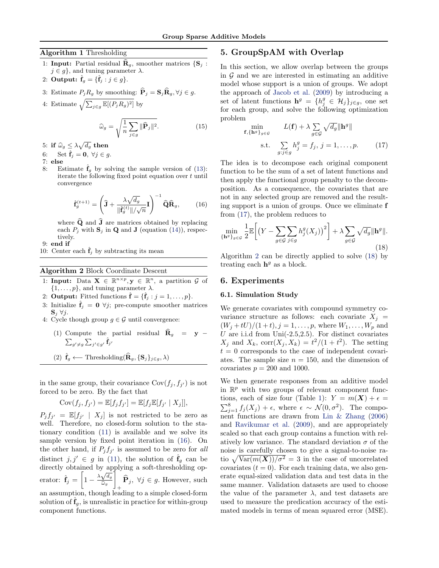# <span id="page-4-0"></span>Algorithm 1 Thresholding

- 1: Input: Partial residual  $\widehat{\mathbf{R}}_q$ , smoother matrices  $\{ \mathbf{S}_i :$  $j \in g$ , and tuning parameter  $\lambda$ .
- 2: Output:  $\hat{\mathbf{f}}_g = \{ \hat{\mathbf{f}}_j : j \in g \}.$

3: Estimate 
$$
P_j R_g
$$
 by smoothing:  $\mathbf{P}_j = \mathbf{S}_j \mathbf{R}_g, \forall j \in g$ .

4: Estimate  $\sqrt{\sum_{j\in g} \mathbb{E}[(P_jR_g)^2]}$  by

$$
\widehat{\omega}_g = \sqrt{\frac{1}{n} \sum_{j \in g} \|\widehat{\mathbf{P}}_j\|^2}.
$$
 (15)

5: if  $\widehat{\omega}_g \leq \lambda \sqrt{d_g}$  then

- 6: Set  $\hat{\mathbf{f}}_i = \mathbf{0}, \ \forall j \in g$ .
- 7: else
- 8: Estimate  $\mathbf{\hat{f}}_g$  by solving the sample version of [\(13\)](#page-3-0): iterate the following fixed point equation over t until convergence

$$
\hat{\mathbf{f}}_{g}^{(t+1)} = \left(\hat{\mathbf{J}} + \frac{\lambda \sqrt{d_g}}{\|\hat{\mathbf{f}}_{g}^{(t)}\|/\sqrt{n}} \mathbf{I}\right)^{-1} \hat{\mathbf{Q}} \hat{\mathbf{R}}_g, \qquad (16)
$$

where  $\widehat{Q}$  and  $\widehat{J}$  are matrices obtained by replacing each  $P_i$  with  $\mathbf{S}_i$  in **Q** and **J** (equation [\(14\)](#page-3-0)), respectively.

9: end if

10: Center each  $\mathbf{f}_j$  by subtracting its mean

#### Algorithm 2 Block Coordinate Descent

- 1: Input: Data  $\mathbf{X} \in \mathbb{R}^{n \times p}, \mathbf{y} \in \mathbb{R}^{n}$ , a partition  $\mathcal{G}$  of  $\{1,\ldots,p\}$ , and tuning parameter  $\lambda$ .
- 2: **Output:** Fitted functions  $\hat{\mathbf{f}} = {\hat{\mathbf{f}}_j : j = 1, ..., p}.$
- 3: Initialize  $\hat{\mathbf{f}}_i = \mathbf{0}$   $\forall j$ ; pre-compute smoother matrices  $\mathbf{S}_i \ \forall j$ .
- 4: Cycle though group  $g \in \mathcal{G}$  until convergence:
	- (1) Compute the partial residual  $\hat{\mathbf{R}}_g = \mathbf{y} \hat{\mathbf{z}}$  $_{g'\neq g}\sum_{j'\in g'}\hat{\mathbf{f}}_{j'}$

(2) 
$$
\hat{\mathbf{f}}_g \longleftarrow \text{Thresholding}(\hat{\mathbf{R}}_g, \{\mathbf{S}_j\}_{j \in g}, \lambda)
$$

in the same group, their covariance  $Cov(f_j, f_{j'})$  is not forced to be zero. By the fact that

$$
Cov(f_j, f_{j'}) = \mathbb{E}[f_j f_{j'}] = \mathbb{E}[f_j \mathbb{E}[f_{j'} | X_j]],
$$

 $P_j f_{j'} = \mathbb{E}[f_{j'} | X_j]$  is not restricted to be zero as well. Therefore, no closed-form solution to the stationary condition [\(11\)](#page-3-0) is available and we solve its sample version by fixed point iteration in (16). On the other hand, if  $P_j f_{j'}$  is assumed to be zero for all distinct  $j, j' \in g$  in [\(11\)](#page-3-0), the solution of  $\hat{\mathbf{f}}_q$  can be directly obtained by applying a soft-thresholding operator:  $\hat{\mathbf{f}}_j = \left[1 - \frac{\lambda \sqrt{d_g}}{\hat{\omega}_s}\right]$  $\widehat{\omega}_g$ 1 **P**<sub>j</sub>, ∀j ∈ g. However, such + an assumption, though leading to a simple closed-form solution of  $\hat{\mathbf{f}}_q$ , is unrealistic in practice for within-group component functions.

# 5. GroupSpAM with Overlap

In this section, we allow overlap between the groups in  $\mathcal G$  and we are interested in estimating an additive model whose support is a union of groups. We adopt the approach of [Jacob et al.](#page-7-0) [\(2009\)](#page-7-0) by introducing a set of latent functions  $\mathbf{h}^g = \{h^g_j \in \mathcal{H}_j\}_{j \in g}$ , one set for each group, and solve the following optimization problem

$$
\min_{\mathbf{f}, \{\mathbf{h}^g\}_{g \in \mathcal{G}}} L(\mathbf{f}) + \lambda \sum_{g \in \mathcal{G}} \sqrt{d_g} \|\mathbf{h}^g\|
$$
\n
$$
\text{s.t.} \sum_{g: j \in g} h_j^g = f_j, \, j = 1, \dots, p. \tag{17}
$$

The idea is to decompose each original component function to be the sum of a set of latent functions and then apply the functional group penalty to the decomposition. As a consequence, the covariates that are not in any selected group are removed and the resulting support is a union of groups. Once we eliminate f from (17), the problem reduces to

$$
\min_{\{\mathbf{h}^g\}_{g\in\mathcal{G}}} \frac{1}{2} \mathbb{E}\bigg[ \left(Y - \sum_{g\in\mathcal{G}} \sum_{j\in g} h_j^g(X_j) \right)^2 \bigg] + \lambda \sum_{g\in\mathcal{G}} \sqrt{d_g} \|\mathbf{h}^g\|.
$$
\n(18)

Algorithm 2 can be directly applied to solve (18) by treating each  $h^g$  as a block.

# 6. Experiments

#### 6.1. Simulation Study

We generate covariates with compound symmetry covariance structure as follows: each covariate  $X_i$  =  $(W_j + tU)/(1 + t), j = 1, \ldots, p$ , where  $W_1, \ldots, W_p$  and  $U$  are i.i.d from Uni(-2.5,2.5). For distinct covariates  $X_j$  and  $X_k$ , corr $(X_j, X_k) = t^2/(1+t^2)$ . The setting  $t = 0$  corresponds to the case of independent covariates. The sample size  $n = 150$ , and the dimension of covariates  $p = 200$  and 1000.

We then generate responses from an additive model in  $\mathbb{R}^p$  with two groups of relevant component func-tions, each of size four (Table [1\)](#page-5-0):  $Y = m(X) + \epsilon =$  $\sum_{j=1}^{8} f_j(X_j) + \epsilon$ , where  $\epsilon \sim \mathcal{N}(0, \sigma^2)$ . The component functions are drawn from [Lin & Zhang](#page-7-0) [\(2006\)](#page-7-0) and [Ravikumar et al.](#page-7-0) [\(2009\)](#page-7-0), and are appropriately scaled so that each group contains a function with relatively low variance. The standard deviation  $\sigma$  of the noise is carefully chosen to give a signal-to-noise ratio  $\sqrt{\text{Var}(m(\boldsymbol{X}))/\sigma^2} = 3$  in the case of uncorrelated covariates  $(t = 0)$ . For each training data, we also generate equal-sized validation data and test data in the same manner. Validation datasets are used to choose the value of the parameter  $\lambda$ , and test datasets are used to measure the predication accuracy of the estimated models in terms of mean squared error (MSE).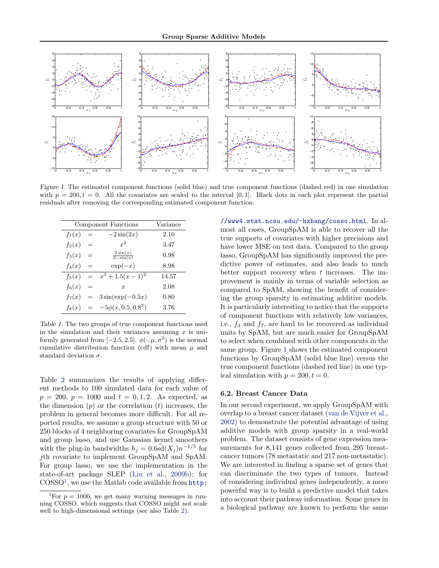<span id="page-5-0"></span>

Figure 1. The estimated component functions (solid blue) and true component functions (dashed red) in one simulation with  $p = 200, t = 0$ . All the covariates are scaled to the interval [0,1]. Black dots in each plot represent the partial residuals after removing the corresponding estimated component function.

| Component Functions | Variance |                                      |       |  |
|---------------------|----------|--------------------------------------|-------|--|
| $f_1(x)$            | $=$      | $-2\sin(2x)$                         | 2.10  |  |
| $f_2(x)$            | $=$      | $x^2$                                | 3.47  |  |
| $f_3(x)$            | $=$      | $2\sin(x)$<br>$\overline{2-\sin(x)}$ | 0.98  |  |
| $f_4(x)$            | $=$      | $\exp(-x)$                           | 8.98  |  |
| $f_5(x)$            | $=$      | $x^3 + 1.5(x - 1)^2$                 | 14.57 |  |
| $f_6(x)$            | $=$      | $\boldsymbol{x}$                     | 2.08  |  |
| $f_7(x)$            | $=$      | $3\sin(\exp(-0.5x))$                 | 0.80  |  |
| $f_8(x)$            |          | $= -5\phi(x, 0.5, 0.8^2)$            | 3.76  |  |

Table 1. The two groups of true component functions used in the simulation and their variances assuming  $x$  is uniformly generated from [-2.5, 2.5].  $\phi(\cdot,\mu,\sigma^2)$  is the normal cumulative distribution function (cdf) with mean  $\mu$  and standard deviation  $\sigma$ .

Table [2](#page-6-0) summarizes the results of applying different methods to 100 simulated data for each value of  $p = 200, p = 1000$  and  $t = 0, 1, 2$ . As expected, as the dimension  $(p)$  or the correlation  $(t)$  increases, the problem in general becomes more difficult. For all reported results, we assume a group structure with 50 or 250 blocks of 4 neighboring covariates for GroupSpAM and group lasso, and use Gaussian kernel smoothers with the plug-in bandwidths  $h_j = 0.6$ s $\hat{d}(X_j) n^{-1/5}$  for jth covariate to implement GroupSpAM and SpAM. For group lasso, we use the implementation in the state-of-art package SLEP [\(Liu et al.,](#page-7-0) [2009b\)](#page-7-0); for COSSO<sup>1</sup> , we use the Matlab code available from [http:](http://www4.stat.ncsu.edu/~hzhang/cosso.html) [//www4.stat.ncsu.edu/~hzhang/cosso.html](http://www4.stat.ncsu.edu/~hzhang/cosso.html). In almost all cases, GroupSpAM is able to recover all the true supports of covariates with higher precisions and have lower MSE on test data. Compared to the group lasso, GroupSpAM has significantly improved the predictive power of estimates, and also leads to much better support recovery when  $t$  increases. The improvement is mainly in terms of variable selection as compared to SpAM, showing the benefit of considering the group sparsity in estimating additive models. It is particularly interesting to notice that the supports of component functions with relatively low variances, i.e.,  $f_3$  and  $f_7$ , are hard to be recovered as individual units by SpAM, but are much easier for GroupSpAM to select when combined with other components in the same group. Figure 1 shows the estimated component functions by GroupSpAM (solid blue line) versus the true component functions (dashed red line) in one typical simulation with  $p = 200, t = 0$ .

# 6.2. Breast Cancer Data

In our second experiment, we apply GroupSpAM with overlap to a breast cancer dataset [\(van de Vijver et al.,](#page-7-0) [2002\)](#page-7-0) to demonstrate the potential advantage of using additive models with group sparsity in a real-world problem. The dataset consists of gene expression measurements for 8,141 genes collected from 295 breastcancer tumors (78 metastatic and 217 non-metastatic). We are interested in finding a sparse set of genes that can discriminate the two types of tumors. Instead of considering individual genes independently, a more powerful way is to build a predictive model that takes into account their pathway information. Some genes in a biological pathway are known to perform the same

<sup>&</sup>lt;sup>1</sup>For  $p = 1000$ , we get many warning messages in run[ning COSSO, which suggests that COSSO might not scale](http://www4.stat.ncsu.edu/~hzhang/cosso.html) [well to high-dimensional settings \(see also Table](http://www4.stat.ncsu.edu/~hzhang/cosso.html) [2\)](#page-6-0).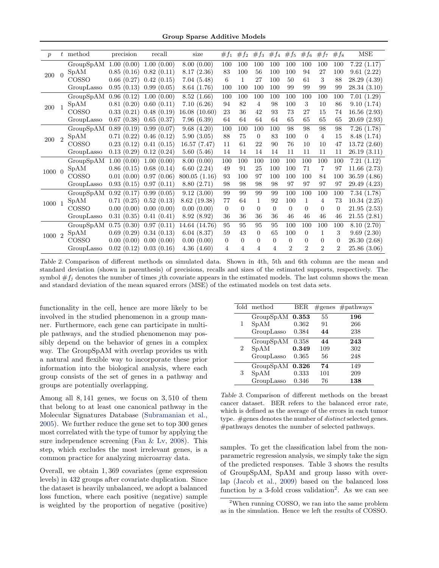Group Sparse Additive Models

<span id="page-6-0"></span>

| $\boldsymbol{p}$ |  | $t$ method   | precision  | recall     | size          | $#f_1$         | $#f_2$   | $#f_3$   | $#f_4$   | $#f_5$         | $#f_6$         | $#f_7$         | $#f_8$         | MSE          |
|------------------|--|--------------|------------|------------|---------------|----------------|----------|----------|----------|----------------|----------------|----------------|----------------|--------------|
| 200<br>$\bigcap$ |  | GroupSpAM    | 1.00(0.00) | 1.00(0.00) | 8.00(0.00)    | 100            | 100      | 100      | 100      | 100            | 100            | 100            | 100            | 7.22(1.17)   |
|                  |  | SpAM         | 0.85(0.16) | 0.82(0.11) | 8.17(2.36)    | 83             | 100      | 56       | 100      | 100            | 94             | 27             | 100            | 9.61(2.22)   |
|                  |  | <b>COSSO</b> | 0.66(0.27) | 0.42(0.15) | 7.04(5.48)    | 6              | 1        | 27       | 100      | 50             | 61             | 3              | 88             | 28.29 (4.39) |
|                  |  | GroupLasso   | 0.95(0.13) | 0.99(0.05) | 8.64 (1.76)   | 100            | 100      | 100      | 100      | 99             | 99             | 99             | 99             | 28.34(3.10)  |
| 200              |  | GroupSpAM    | 0.96(0.12) | 1.00(0.00) | 8.52(1.66)    | 100            | 100      | 100      | 100      | 100            | 100            | 100            | 100            | 7.01(1.29)   |
|                  |  | SpAM         | 0.81(0.20) | 0.60(0.11) | 7.10(6.26)    | 94             | 82       | 4        | 98       | 100            | 3              | 10             | 86             | 9.10(1.74)   |
|                  |  | <b>COSSO</b> | 0.33(0.21) | 0.48(0.19) | 16.08(10.60)  | 23             | 36       | 42       | 93       | 73             | 27             | 15             | 74             | 16.56(2.93)  |
|                  |  | GroupLasso   | 0.67(0.38) | 0.65(0.37) | 7.96(6.39)    | 64             | 64       | 64       | 64       | 65             | 65             | 65             | 65             | 20.69(2.93)  |
| 200              |  | GroupSpAM    | 0.89(0.19) | 0.99(0.07) | 9.68(4.20)    | 100            | 100      | 100      | 100      | 98             | 98             | 98             | 98             | 7.26(1.78)   |
|                  |  | SpAM         | 0.71(0.22) | 0.46(0.12) | 5.90(3.05)    | 88             | 75       | $\Omega$ | 83       | 100            | $\Omega$       | 4              | 15             | 8.48 (1.74)  |
|                  |  | COSSO        | 0.23(0.12) | 0.41(0.15) | 16.57(7.47)   | 11             | 61       | 22       | 90       | 76             | 10             | 10             | 47             | 13.72(2.60)  |
|                  |  | GroupLasso   | 0.13(0.29) | 0.12(0.24) | 5.60(5.46)    | 14             | 14       | 14       | 14       | 11             | 11             | 11             | 11             | 26.19(3.11)  |
|                  |  | GroupSpAM    | 1.00(0.00) | 1.00(0.00) | 8.00(0.00)    | 100            | 100      | 100      | 100      | 100            | 100            | 100            | 100            | 7.21(1.12)   |
| 1000 0           |  | SpAM         | 0.86(0.15) | 0.68(0.14) | 6.60(2.24)    | 49             | 91       | 25       | 100      | 100            | 71             | 7              | 97             | 11.66(2.73)  |
|                  |  | <b>COSSO</b> | 0.01(0.00) | 0.97(0.06) | 800.05(1.16)  | 93             | 100      | 97       | 100      | 100            | 100            | 84             | 100            | 36.59 (4.86) |
|                  |  | GroupLasso   | 0.93(0.15) | 0.97(0.11) | 8.80(2.71)    | 98             | 98       | 98       | 98       | 97             | 97             | 97             | 97             | 29.49 (4.23) |
| 1000 1           |  | GroupSpAM    | 0.92(0.17) | 0.99(0.05) | 9.12(3.00)    | 99             | 99       | 99       | 99       | 100            | 100            | 100            | 100            | 7.34(1.78)   |
|                  |  | SpAM         | 0.71(0.25) | 0.52(0.13) | 8.62(19.38)   | 77             | 64       | 1        | 92       | 100            | $\mathbf{1}$   | 4              | 73             | 10.34(2.25)  |
|                  |  | COSSO        | 0.00(0.00) | 0.00(0.00) | 0.00(0.00)    | $\overline{0}$ | $\Omega$ | $\Omega$ | $\Omega$ | $\overline{0}$ | $\Omega$       | $\Omega$       | $\overline{0}$ | 21.95(2.53)  |
|                  |  | GroupLasso   | 0.31(0.35) | 0.41(0.41) | 8.92(8.92)    | 36             | 36       | 36       | 36       | 46             | 46             | 46             | 46             | 21.55(2.81)  |
| 1000 2           |  | GroupSpAM    | 0.75(0.30) | 0.97(0.11) | 14.64 (14.76) | 95             | 95       | 95       | 95       | 100            | 100            | 100            | 100            | 8.10(2.70)   |
|                  |  | <b>SpAM</b>  | 0.69(0.29) | 0.34(0.13) | 6.04(8.37)    | 59             | 43       | 0        | 65       | 100            | $\Omega$       | 1              | 3              | 9.69(2.30)   |
|                  |  | COSSO        | 0.00(0.00) | 0.00(0.00) | 0.00(0.00)    | $\overline{0}$ | $\Omega$ | $\Omega$ | $\Omega$ | $\Omega$       | $\Omega$       | $\Omega$       | $\Omega$       | 26.30(2.68)  |
|                  |  | GroupLasso   | 0.02(0.12) | 0.03(0.16) | 4.36(4.60)    | 4              | 4        | 4        | 4        | $\mathfrak{D}$ | $\mathfrak{D}$ | $\mathfrak{D}$ | $\mathfrak{D}$ | 25.86(3.06)  |

Table 2. Comparison of different methods on simulated data. Shown in 4th, 5th and 6th column are the mean and standard deviation (shown in parenthesis) of precisions, recalls and sizes of the estimated supports, respectively. The symbol  $\#f_i$  denotes the number of times jth covariate appears in the estimated models. The last column shows the mean and standard deviation of the mean squared errors (MSE) of the estimated models on test data sets.

functionality in the cell, hence are more likely to be involved in the studied phenomenon in a group manner. Furthermore, each gene can participate in multiple pathways, and the studied phenomenon may possibly depend on the behavior of genes in a complex way. The GroupSpAM with overlap provides us with a natural and flexible way to incorporate these prior information into the biological analysis, where each group consists of the set of genes in a pathway and groups are potentially overlapping.

Among all 8, 141 genes, we focus on 3, 510 of them that belong to at least one canonical pathway in the Molecular Signatures Database [\(Subramanian et al.,](#page-7-0) [2005\)](#page-7-0). We further reduce the gene set to top 300 genes most correlated with the type of tumor by applying the sure independence screening [\(Fan & Lv,](#page-7-0) [2008\)](#page-7-0). This step, which excludes the most irrelevant genes, is a common practice for analyzing microarray data.

Overall, we obtain 1, 369 covariates (gene expression levels) in 432 groups after covariate duplication. Since the dataset is heavily unbalanced, we adopt a balanced loss function, where each positive (negative) sample is weighted by the proportion of negative (positive)

|   | fold method | BER   |     | $\#$ genes $\#$ pathways |
|---|-------------|-------|-----|--------------------------|
|   | GroupSpAM   | 0.353 | 55  | 196                      |
| 1 | SpAM        | 0.362 | 91  | 266                      |
|   | GroupLasso  | 0.384 | 44  | 238                      |
| 2 | GroupSpAM   | 0.358 | 44  | 243                      |
|   | SpAM        | 0.349 | 109 | 302                      |
|   | GroupLasso  | 0.365 | 56  | 248                      |
| 3 | GroupSpAM   | 0.326 | 74  | 149                      |
|   | SpAM        | 0.333 | 101 | 209                      |
|   | GroupLasso  | 0.346 | 76  | $^{138}$                 |

Table 3. Comparison of different methods on the breast cancer dataset. BER refers to the balanced error rate, which is defined as the average of the errors in each tumor type. #genes denotes the number of *distinct* selected genes. #pathways denotes the number of selected pathways.

samples. To get the classification label from the nonparametric regression analysis, we simply take the sign of the predicted responses. Table 3 shows the results of GroupSpAM, SpAM and group lasso with overlap [\(Jacob et al.,](#page-7-0) [2009\)](#page-7-0) based on the balanced loss function by a 3-fold cross validation<sup>2</sup>. As we can see

<sup>2</sup>When running COSSO, we ran into the same problem as in the simulation. Hence we left the results of COSSO.